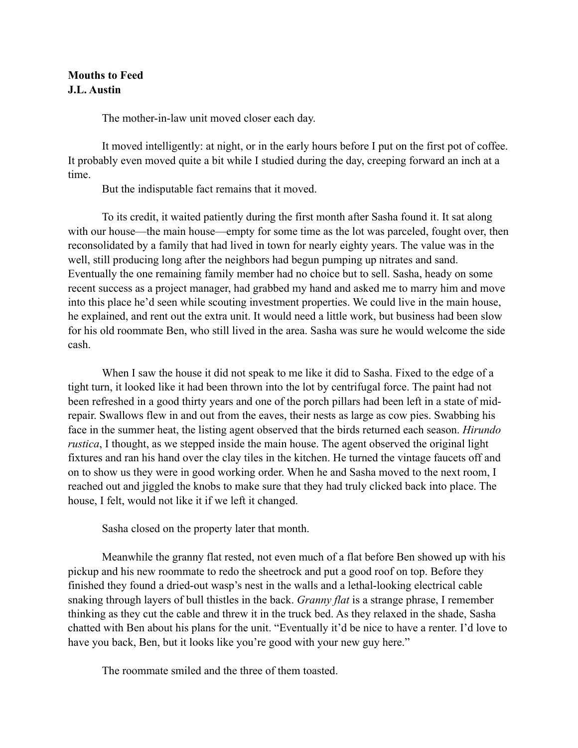## **Mouths to Feed J.L. Austin**

The mother-in-law unit moved closer each day.

It moved intelligently: at night, or in the early hours before I put on the first pot of coffee. It probably even moved quite a bit while I studied during the day, creeping forward an inch at a time.

But the indisputable fact remains that it moved.

To its credit, it waited patiently during the first month after Sasha found it. It sat along with our house—the main house—empty for some time as the lot was parceled, fought over, then reconsolidated by a family that had lived in town for nearly eighty years. The value was in the well, still producing long after the neighbors had begun pumping up nitrates and sand. Eventually the one remaining family member had no choice but to sell. Sasha, heady on some recent success as a project manager, had grabbed my hand and asked me to marry him and move into this place he'd seen while scouting investment properties. We could live in the main house, he explained, and rent out the extra unit. It would need a little work, but business had been slow for his old roommate Ben, who still lived in the area. Sasha was sure he would welcome the side cash.

When I saw the house it did not speak to me like it did to Sasha. Fixed to the edge of a tight turn, it looked like it had been thrown into the lot by centrifugal force. The paint had not been refreshed in a good thirty years and one of the porch pillars had been left in a state of midrepair. Swallows flew in and out from the eaves, their nests as large as cow pies. Swabbing his face in the summer heat, the listing agent observed that the birds returned each season. *Hirundo rustica*, I thought, as we stepped inside the main house. The agent observed the original light fixtures and ran his hand over the clay tiles in the kitchen. He turned the vintage faucets off and on to show us they were in good working order. When he and Sasha moved to the next room, I reached out and jiggled the knobs to make sure that they had truly clicked back into place. The house, I felt, would not like it if we left it changed.

Sasha closed on the property later that month.

Meanwhile the granny flat rested, not even much of a flat before Ben showed up with his pickup and his new roommate to redo the sheetrock and put a good roof on top. Before they finished they found a dried-out wasp's nest in the walls and a lethal-looking electrical cable snaking through layers of bull thistles in the back. *Granny flat* is a strange phrase, I remember thinking as they cut the cable and threw it in the truck bed. As they relaxed in the shade, Sasha chatted with Ben about his plans for the unit. "Eventually it'd be nice to have a renter. I'd love to have you back, Ben, but it looks like you're good with your new guy here."

The roommate smiled and the three of them toasted.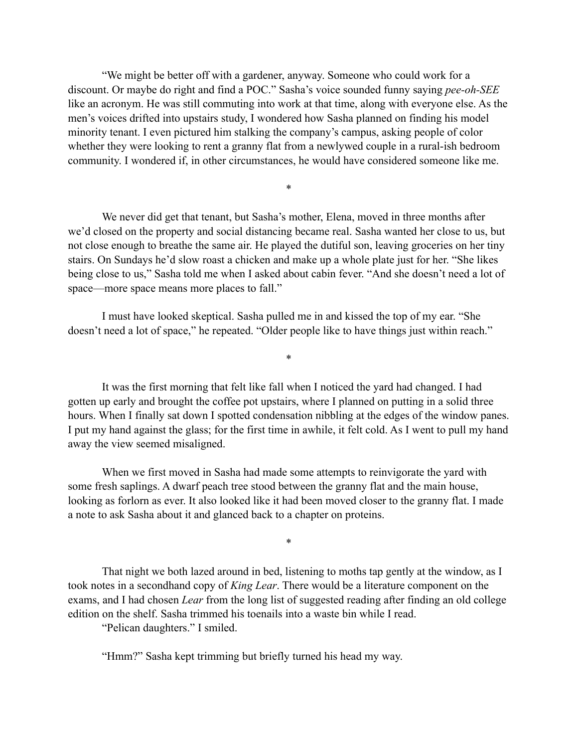"We might be better off with a gardener, anyway. Someone who could work for a discount. Or maybe do right and find a POC." Sasha's voice sounded funny saying *pee-oh-SEE* like an acronym. He was still commuting into work at that time, along with everyone else. As the men's voices drifted into upstairs study, I wondered how Sasha planned on finding his model minority tenant. I even pictured him stalking the company's campus, asking people of color whether they were looking to rent a granny flat from a newlywed couple in a rural-ish bedroom community. I wondered if, in other circumstances, he would have considered someone like me.

\*

We never did get that tenant, but Sasha's mother, Elena, moved in three months after we'd closed on the property and social distancing became real. Sasha wanted her close to us, but not close enough to breathe the same air. He played the dutiful son, leaving groceries on her tiny stairs. On Sundays he'd slow roast a chicken and make up a whole plate just for her. "She likes being close to us," Sasha told me when I asked about cabin fever. "And she doesn't need a lot of space—more space means more places to fall."

I must have looked skeptical. Sasha pulled me in and kissed the top of my ear. "She doesn't need a lot of space," he repeated. "Older people like to have things just within reach."

It was the first morning that felt like fall when I noticed the yard had changed. I had gotten up early and brought the coffee pot upstairs, where I planned on putting in a solid three hours. When I finally sat down I spotted condensation nibbling at the edges of the window panes. I put my hand against the glass; for the first time in awhile, it felt cold. As I went to pull my hand away the view seemed misaligned.

\*

When we first moved in Sasha had made some attempts to reinvigorate the yard with some fresh saplings. A dwarf peach tree stood between the granny flat and the main house, looking as forlorn as ever. It also looked like it had been moved closer to the granny flat. I made a note to ask Sasha about it and glanced back to a chapter on proteins.

\*

That night we both lazed around in bed, listening to moths tap gently at the window, as I took notes in a secondhand copy of *King Lear*. There would be a literature component on the exams, and I had chosen *Lear* from the long list of suggested reading after finding an old college edition on the shelf. Sasha trimmed his toenails into a waste bin while I read.

"Pelican daughters." I smiled.

"Hmm?" Sasha kept trimming but briefly turned his head my way.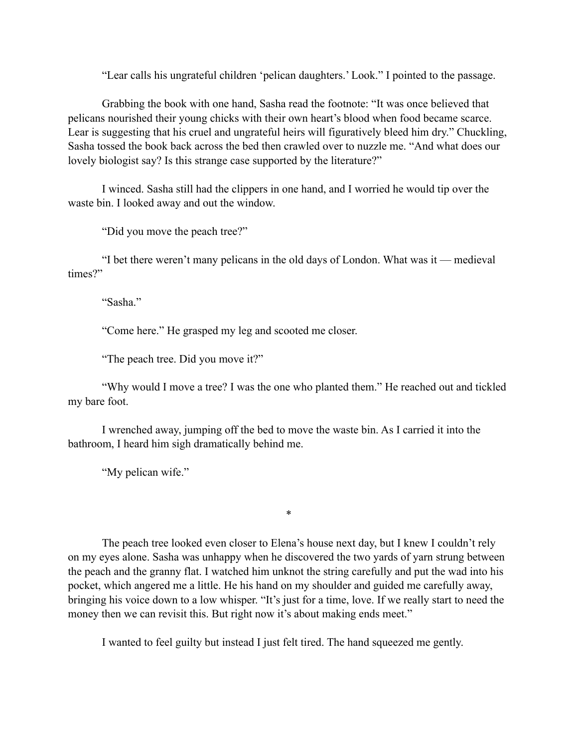"Lear calls his ungrateful children 'pelican daughters.' Look." I pointed to the passage.

Grabbing the book with one hand, Sasha read the footnote: "It was once believed that pelicans nourished their young chicks with their own heart's blood when food became scarce. Lear is suggesting that his cruel and ungrateful heirs will figuratively bleed him dry." Chuckling, Sasha tossed the book back across the bed then crawled over to nuzzle me. "And what does our lovely biologist say? Is this strange case supported by the literature?"

I winced. Sasha still had the clippers in one hand, and I worried he would tip over the waste bin. I looked away and out the window.

"Did you move the peach tree?"

"I bet there weren't many pelicans in the old days of London. What was it — medieval times?"

"Sasha"

"Come here." He grasped my leg and scooted me closer.

"The peach tree. Did you move it?"

"Why would I move a tree? I was the one who planted them." He reached out and tickled my bare foot.

I wrenched away, jumping off the bed to move the waste bin. As I carried it into the bathroom, I heard him sigh dramatically behind me.

"My pelican wife."

The peach tree looked even closer to Elena's house next day, but I knew I couldn't rely on my eyes alone. Sasha was unhappy when he discovered the two yards of yarn strung between the peach and the granny flat. I watched him unknot the string carefully and put the wad into his pocket, which angered me a little. He his hand on my shoulder and guided me carefully away, bringing his voice down to a low whisper. "It's just for a time, love. If we really start to need the money then we can revisit this. But right now it's about making ends meet."

\*

I wanted to feel guilty but instead I just felt tired. The hand squeezed me gently.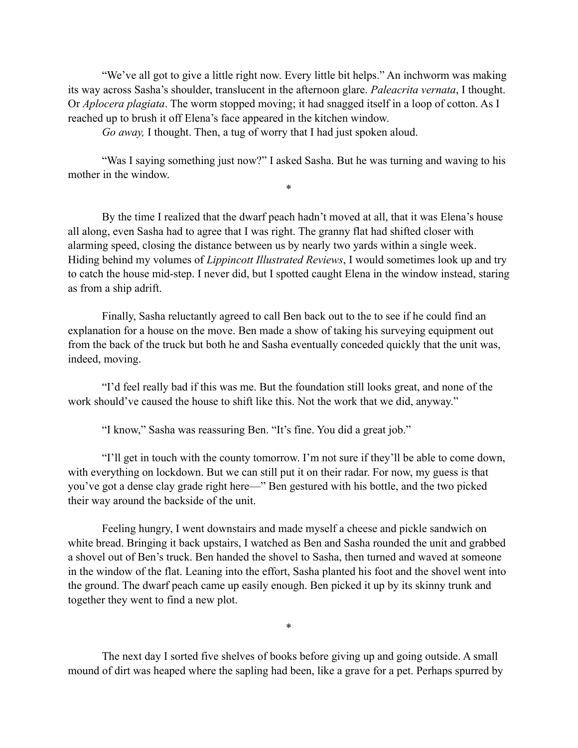"We've all got to give a little right now. Every little bit helps." An inchworm was making its way across Sasha's shoulder, translucent in the afternoon glare. *Paleacrita vernata*, I thought. Or *Aplocera plagiata*. The worm stopped moving; it had snagged itself in a loop of cotton. As I reached up to brush it off Elena's face appeared in the kitchen window.

*Go away,* I thought. Then, a tug of worry that I had just spoken aloud.

"Was I saying something just now?" I asked Sasha. But he was turning and waving to his mother in the window. \*

By the time I realized that the dwarf peach hadn't moved at all, that it was Elena's house all along, even Sasha had to agree that I was right. The granny flat had shifted closer with alarming speed, closing the distance between us by nearly two yards within a single week. Hiding behind my volumes of *Lippincott Illustrated Reviews*, I would sometimes look up and try to catch the house mid-step. I never did, but I spotted caught Elena in the window instead, staring as from a ship adrift.

Finally, Sasha reluctantly agreed to call Ben back out to the to see if he could find an explanation for a house on the move. Ben made a show of taking his surveying equipment out from the back of the truck but both he and Sasha eventually conceded quickly that the unit was, indeed, moving.

"I'd feel really bad if this was me. But the foundation still looks great, and none of the work should've caused the house to shift like this. Not the work that we did, anyway."

"I know," Sasha was reassuring Ben. "It's fine. You did a great job."

"I'll get in touch with the county tomorrow. I'm not sure if they'll be able to come down, with everything on lockdown. But we can still put it on their radar. For now, my guess is that you've got a dense clay grade right here—" Ben gestured with his bottle, and the two picked their way around the backside of the unit.

Feeling hungry, I went downstairs and made myself a cheese and pickle sandwich on white bread. Bringing it back upstairs, I watched as Ben and Sasha rounded the unit and grabbed a shovel out of Ben's truck. Ben handed the shovel to Sasha, then turned and waved at someone in the window of the flat. Leaning into the effort, Sasha planted his foot and the shovel went into the ground. The dwarf peach came up easily enough. Ben picked it up by its skinny trunk and together they went to find a new plot.

The next day I sorted five shelves of books before giving up and going outside. A small mound of dirt was heaped where the sapling had been, like a grave for a pet. Perhaps spurred by

\*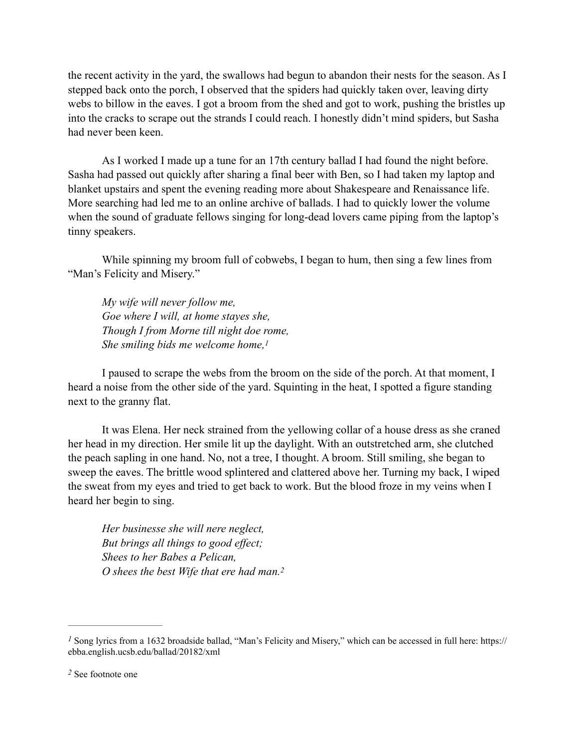the recent activity in the yard, the swallows had begun to abandon their nests for the season. As I stepped back onto the porch, I observed that the spiders had quickly taken over, leaving dirty webs to billow in the eaves. I got a broom from the shed and got to work, pushing the bristles up into the cracks to scrape out the strands I could reach. I honestly didn't mind spiders, but Sasha had never been keen.

As I worked I made up a tune for an 17th century ballad I had found the night before. Sasha had passed out quickly after sharing a final beer with Ben, so I had taken my laptop and blanket upstairs and spent the evening reading more about Shakespeare and Renaissance life. More searching had led me to an online archive of ballads. I had to quickly lower the volume when the sound of graduate fellows singing for long-dead lovers came piping from the laptop's tinny speakers.

While spinning my broom full of cobwebs, I began to hum, then sing a few lines from "Man's Felicity and Misery."

<span id="page-4-2"></span>*My wife will never follow me, Goe where I will, at home stayes she, Though I from Morne till night doe rome, She smiling bids me welcome home,[1](#page-4-0)*

I paused to scrape the webs from the broom on the side of the porch. At that moment, I heard a noise from the other side of the yard. Squinting in the heat, I spotted a figure standing next to the granny flat.

It was Elena. Her neck strained from the yellowing collar of a house dress as she craned her head in my direction. Her smile lit up the daylight. With an outstretched arm, she clutched the peach sapling in one hand. No, not a tree, I thought. A broom. Still smiling, she began to sweep the eaves. The brittle wood splintered and clattered above her. Turning my back, I wiped the sweat from my eyes and tried to get back to work. But the blood froze in my veins when I heard her begin to sing.

<span id="page-4-3"></span>*Her businesse she will nere neglect, But brings all things to good effect; Shees to her Babes a Pelican, O shees the best Wife that ere had man[.2](#page-4-1)*

<span id="page-4-0"></span> $<sup>I</sup>$  Song lyrics from a [1](#page-4-2)632 broadside ballad, "Man's Felicity and Misery," which can be accessed in full here: https://</sup> ebba.english.ucsb.edu/ballad/20182/xml

<span id="page-4-1"></span>See footnote one *[2](#page-4-3)*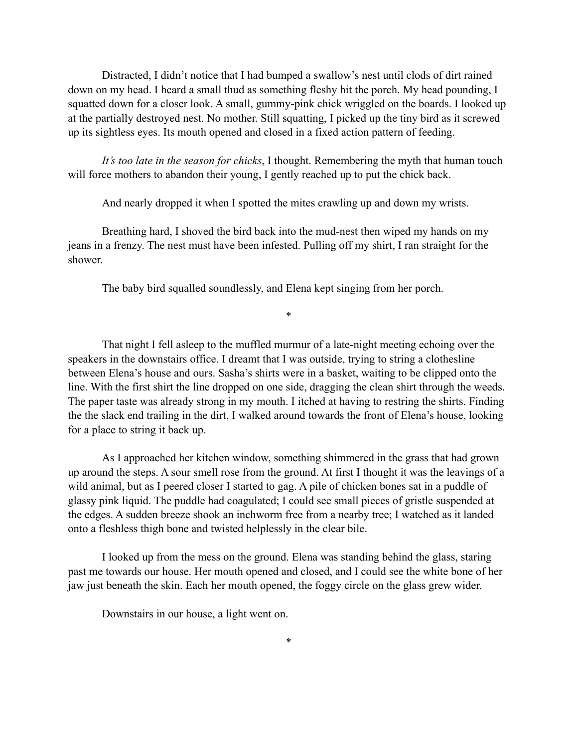Distracted, I didn't notice that I had bumped a swallow's nest until clods of dirt rained down on my head. I heard a small thud as something fleshy hit the porch. My head pounding, I squatted down for a closer look. A small, gummy-pink chick wriggled on the boards. I looked up at the partially destroyed nest. No mother. Still squatting, I picked up the tiny bird as it screwed up its sightless eyes. Its mouth opened and closed in a fixed action pattern of feeding.

*It's too late in the season for chicks*, I thought. Remembering the myth that human touch will force mothers to abandon their young, I gently reached up to put the chick back.

And nearly dropped it when I spotted the mites crawling up and down my wrists.

Breathing hard, I shoved the bird back into the mud-nest then wiped my hands on my jeans in a frenzy. The nest must have been infested. Pulling off my shirt, I ran straight for the shower.

The baby bird squalled soundlessly, and Elena kept singing from her porch.

That night I fell asleep to the muffled murmur of a late-night meeting echoing over the speakers in the downstairs office. I dreamt that I was outside, trying to string a clothesline between Elena's house and ours. Sasha's shirts were in a basket, waiting to be clipped onto the line. With the first shirt the line dropped on one side, dragging the clean shirt through the weeds. The paper taste was already strong in my mouth. I itched at having to restring the shirts. Finding the the slack end trailing in the dirt, I walked around towards the front of Elena's house, looking for a place to string it back up.

\*

As I approached her kitchen window, something shimmered in the grass that had grown up around the steps. A sour smell rose from the ground. At first I thought it was the leavings of a wild animal, but as I peered closer I started to gag. A pile of chicken bones sat in a puddle of glassy pink liquid. The puddle had coagulated; I could see small pieces of gristle suspended at the edges. A sudden breeze shook an inchworm free from a nearby tree; I watched as it landed onto a fleshless thigh bone and twisted helplessly in the clear bile.

I looked up from the mess on the ground. Elena was standing behind the glass, staring past me towards our house. Her mouth opened and closed, and I could see the white bone of her jaw just beneath the skin. Each her mouth opened, the foggy circle on the glass grew wider.

Downstairs in our house, a light went on.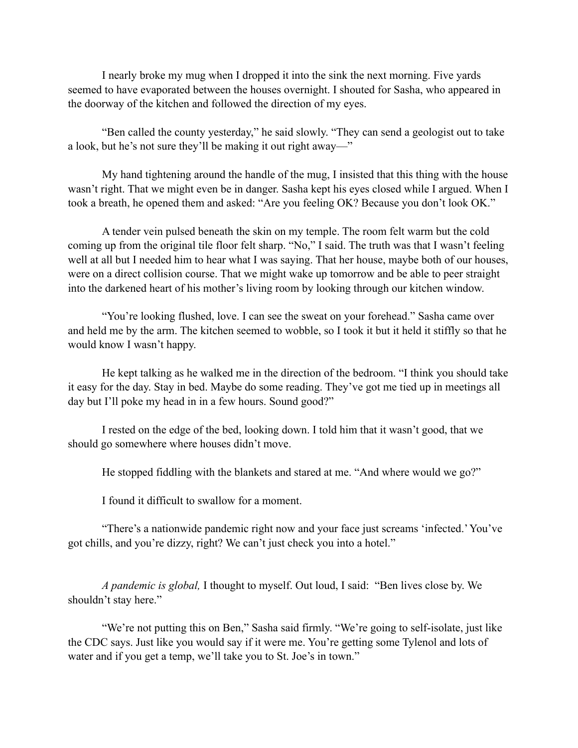I nearly broke my mug when I dropped it into the sink the next morning. Five yards seemed to have evaporated between the houses overnight. I shouted for Sasha, who appeared in the doorway of the kitchen and followed the direction of my eyes.

"Ben called the county yesterday," he said slowly. "They can send a geologist out to take a look, but he's not sure they'll be making it out right away—"

My hand tightening around the handle of the mug, I insisted that this thing with the house wasn't right. That we might even be in danger. Sasha kept his eyes closed while I argued. When I took a breath, he opened them and asked: "Are you feeling OK? Because you don't look OK."

A tender vein pulsed beneath the skin on my temple. The room felt warm but the cold coming up from the original tile floor felt sharp. "No," I said. The truth was that I wasn't feeling well at all but I needed him to hear what I was saying. That her house, maybe both of our houses, were on a direct collision course. That we might wake up tomorrow and be able to peer straight into the darkened heart of his mother's living room by looking through our kitchen window.

"You're looking flushed, love. I can see the sweat on your forehead." Sasha came over and held me by the arm. The kitchen seemed to wobble, so I took it but it held it stiffly so that he would know I wasn't happy.

He kept talking as he walked me in the direction of the bedroom. "I think you should take it easy for the day. Stay in bed. Maybe do some reading. They've got me tied up in meetings all day but I'll poke my head in in a few hours. Sound good?"

I rested on the edge of the bed, looking down. I told him that it wasn't good, that we should go somewhere where houses didn't move.

He stopped fiddling with the blankets and stared at me. "And where would we go?"

I found it difficult to swallow for a moment.

"There's a nationwide pandemic right now and your face just screams 'infected.' You've got chills, and you're dizzy, right? We can't just check you into a hotel."

*A pandemic is global,* I thought to myself. Out loud, I said: "Ben lives close by. We shouldn't stay here."

"We're not putting this on Ben," Sasha said firmly. "We're going to self-isolate, just like the CDC says. Just like you would say if it were me. You're getting some Tylenol and lots of water and if you get a temp, we'll take you to St. Joe's in town."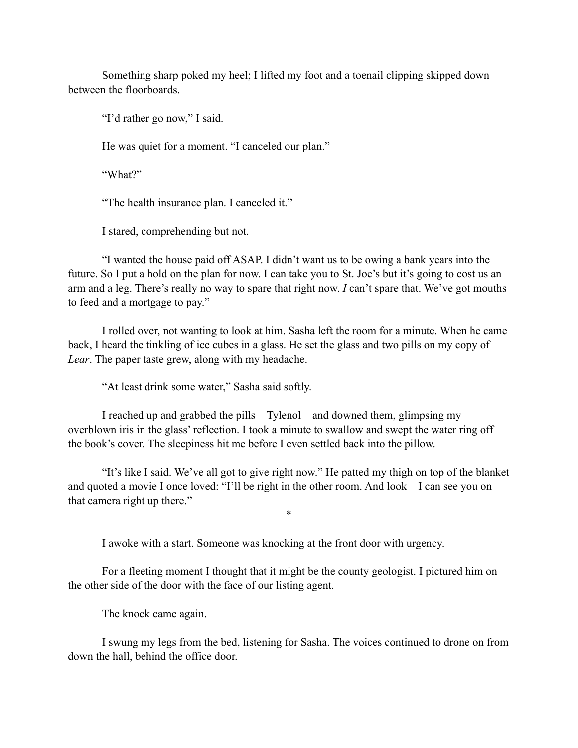Something sharp poked my heel; I lifted my foot and a toenail clipping skipped down between the floorboards.

"I'd rather go now," I said.

He was quiet for a moment. "I canceled our plan."

"What?"

"The health insurance plan. I canceled it."

I stared, comprehending but not.

"I wanted the house paid off ASAP. I didn't want us to be owing a bank years into the future. So I put a hold on the plan for now. I can take you to St. Joe's but it's going to cost us an arm and a leg. There's really no way to spare that right now. *I* can't spare that. We've got mouths to feed and a mortgage to pay."

I rolled over, not wanting to look at him. Sasha left the room for a minute. When he came back, I heard the tinkling of ice cubes in a glass. He set the glass and two pills on my copy of *Lear*. The paper taste grew, along with my headache.

"At least drink some water," Sasha said softly.

I reached up and grabbed the pills—Tylenol—and downed them, glimpsing my overblown iris in the glass' reflection. I took a minute to swallow and swept the water ring off the book's cover. The sleepiness hit me before I even settled back into the pillow.

"It's like I said. We've all got to give right now." He patted my thigh on top of the blanket and quoted a movie I once loved: "I'll be right in the other room. And look—I can see you on that camera right up there."

\*

I awoke with a start. Someone was knocking at the front door with urgency.

For a fleeting moment I thought that it might be the county geologist. I pictured him on the other side of the door with the face of our listing agent.

The knock came again.

I swung my legs from the bed, listening for Sasha. The voices continued to drone on from down the hall, behind the office door.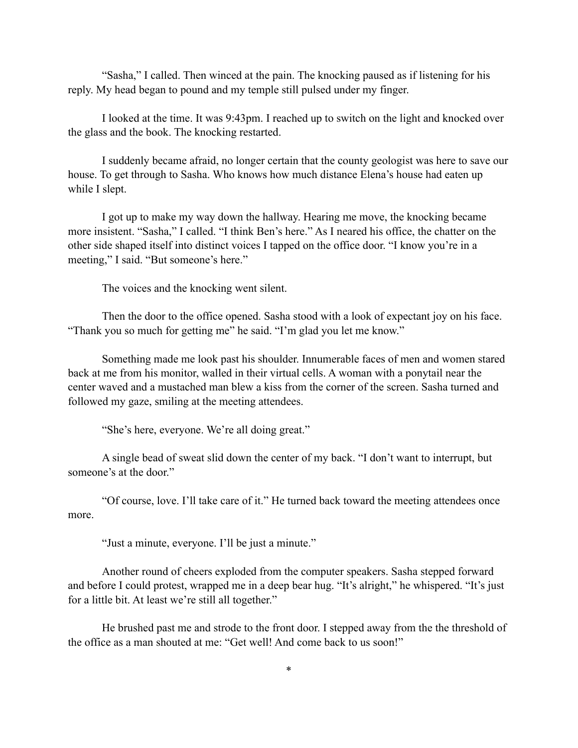"Sasha," I called. Then winced at the pain. The knocking paused as if listening for his reply. My head began to pound and my temple still pulsed under my finger.

I looked at the time. It was 9:43pm. I reached up to switch on the light and knocked over the glass and the book. The knocking restarted.

I suddenly became afraid, no longer certain that the county geologist was here to save our house. To get through to Sasha. Who knows how much distance Elena's house had eaten up while I slept.

I got up to make my way down the hallway. Hearing me move, the knocking became more insistent. "Sasha," I called. "I think Ben's here." As I neared his office, the chatter on the other side shaped itself into distinct voices I tapped on the office door. "I know you're in a meeting," I said. "But someone's here."

The voices and the knocking went silent.

Then the door to the office opened. Sasha stood with a look of expectant joy on his face. "Thank you so much for getting me" he said. "I'm glad you let me know."

Something made me look past his shoulder. Innumerable faces of men and women stared back at me from his monitor, walled in their virtual cells. A woman with a ponytail near the center waved and a mustached man blew a kiss from the corner of the screen. Sasha turned and followed my gaze, smiling at the meeting attendees.

"She's here, everyone. We're all doing great."

A single bead of sweat slid down the center of my back. "I don't want to interrupt, but someone's at the door."

"Of course, love. I'll take care of it." He turned back toward the meeting attendees once more.

"Just a minute, everyone. I'll be just a minute."

Another round of cheers exploded from the computer speakers. Sasha stepped forward and before I could protest, wrapped me in a deep bear hug. "It's alright," he whispered. "It's just for a little bit. At least we're still all together."

He brushed past me and strode to the front door. I stepped away from the the threshold of the office as a man shouted at me: "Get well! And come back to us soon!"